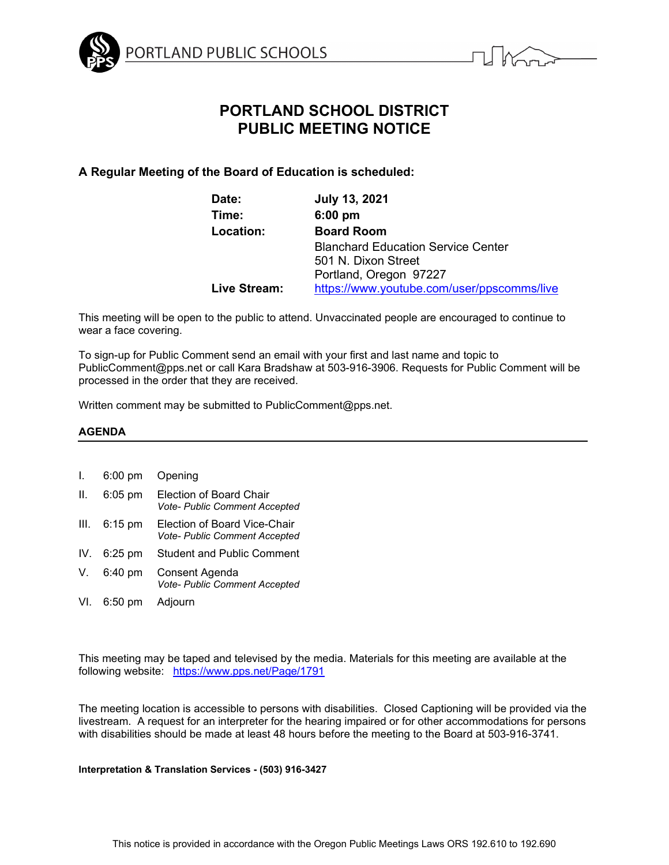



# **PORTLAND SCHOOL DISTRICT PUBLIC MEETING NOTICE**

## **A Regular Meeting of the Board of Education is scheduled:**

| Date:        | <b>July 13, 2021</b>                       |
|--------------|--------------------------------------------|
| Time:        | $6:00$ pm                                  |
| Location:    | <b>Board Room</b>                          |
|              | <b>Blanchard Education Service Center</b>  |
|              | 501 N. Dixon Street                        |
|              | Portland, Oregon 97227                     |
| Live Stream: | https://www.youtube.com/user/ppscomms/live |

This meeting will be open to the public to attend. Unvaccinated people are encouraged to continue to wear a face covering.

To sign-up for Public Comment send an email with your first and last name and topic to PublicComment@pps.net or call Kara Bradshaw at 503-916-3906. Requests for Public Comment will be processed in the order that they are received.

Written comment may be submitted to PublicComment@pps.net.

#### **AGENDA**

## I. 6:00 pm Opening II. 6:05 pm Election of Board Chair *Vote- Public Comment Accepted* III. 6:15 pm Election of Board Vice-Chair *Vote- Public Comment Accepted* IV. 6:25 pm Student and Public Comment V. 6:40 pm Consent Agenda *Vote- Public Comment Accepted* VI. 6:50 pm Adjourn

This meeting may be taped and televised by the media. Materials for this meeting are available at the following website: <https://www.pps.net/Page/1791>

The meeting location is accessible to persons with disabilities. Closed Captioning will be provided via the livestream. A request for an interpreter for the hearing impaired or for other accommodations for persons with disabilities should be made at least 48 hours before the meeting to the Board at 503-916-3741.

#### **Interpretation & Translation Services - (503) 916-3427**